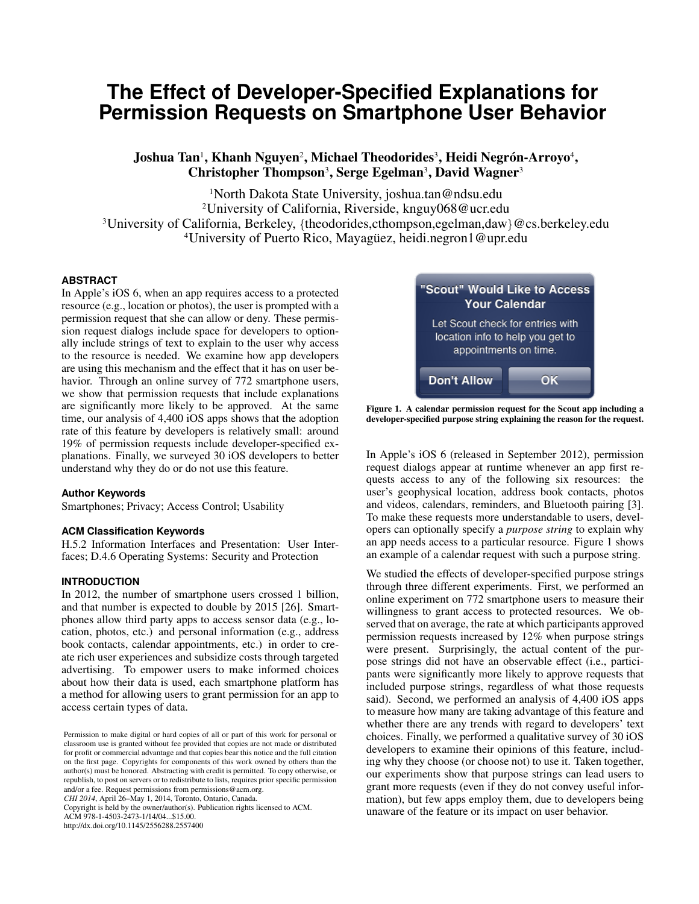# **The Effect of Developer-Specified Explanations for Permission Requests on Smartphone User Behavior**

Joshua Tan', Khanh Nguyen<sup>2</sup>, Michael Theodorides<sup>3</sup>, Heidi Negrón-Arroyo<sup>4</sup>, Christopher Thompson<sup>3</sup>, Serge Egelman<sup>3</sup>, David Wagner<sup>3</sup>

North Dakota State University, joshua.tan@ndsu.edu University of California, Riverside, knguy068@ucr.edu University of California, Berkeley, {theodorides,cthompson,egelman,daw}@cs.berkeley.edu <sup>4</sup>University of Puerto Rico, Mayagüez, heidi.negron1@upr.edu

#### **ABSTRACT**

In Apple's iOS 6, when an app requires access to a protected resource (e.g., location or photos), the user is prompted with a permission request that she can allow or deny. These permission request dialogs include space for developers to optionally include strings of text to explain to the user why access to the resource is needed. We examine how app developers are using this mechanism and the effect that it has on user behavior. Through an online survey of 772 smartphone users, we show that permission requests that include explanations are significantly more likely to be approved. At the same time, our analysis of 4,400 iOS apps shows that the adoption rate of this feature by developers is relatively small: around 19% of permission requests include developer-specified explanations. Finally, we surveyed 30 iOS developers to better understand why they do or do not use this feature.

#### **Author Keywords**

Smartphones; Privacy; Access Control; Usability

#### **ACM Classification Keywords**

H.5.2 Information Interfaces and Presentation: User Interfaces; D.4.6 Operating Systems: Security and Protection

#### **INTRODUCTION**

In 2012, the number of smartphone users crossed 1 billion, and that number is expected to double by 2015 [\[26\]](#page-9-0). Smartphones allow third party apps to access sensor data (e.g., location, photos, etc.) and personal information (e.g., address book contacts, calendar appointments, etc.) in order to create rich user experiences and subsidize costs through targeted advertising. To empower users to make informed choices about how their data is used, each smartphone platform has a method for allowing users to grant permission for an app to access certain types of data.

*CHI 2014*, April 26–May 1, 2014, Toronto, Ontario, Canada.

Copyright is held by the owner/author(s). Publication rights licensed to ACM. ACM 978-1-4503-2473-1/14/04...\$15.00.

http://dx.doi.org/10.1145/2556288.2557400



Figure 1. A calendar permission request for the Scout app including a developer-specified purpose string explaining the reason for the request.

<span id="page-0-0"></span>In Apple's iOS 6 (released in September 2012), permission request dialogs appear at runtime whenever an app first requests access to any of the following six resources: the user's geophysical location, address book contacts, photos and videos, calendars, reminders, and Bluetooth pairing [\[3\]](#page-8-0). To make these requests more understandable to users, developers can optionally specify a *purpose string* to explain why an app needs access to a particular resource. Figure [1](#page-0-0) shows an example of a calendar request with such a purpose string.

We studied the effects of developer-specified purpose strings through three different experiments. First, we performed an online experiment on 772 smartphone users to measure their willingness to grant access to protected resources. We observed that on average, the rate at which participants approved permission requests increased by 12% when purpose strings were present. Surprisingly, the actual content of the purpose strings did not have an observable effect (i.e., participants were significantly more likely to approve requests that included purpose strings, regardless of what those requests said). Second, we performed an analysis of 4,400 iOS apps to measure how many are taking advantage of this feature and whether there are any trends with regard to developers' text choices. Finally, we performed a qualitative survey of 30 iOS developers to examine their opinions of this feature, including why they choose (or choose not) to use it. Taken together, our experiments show that purpose strings can lead users to grant more requests (even if they do not convey useful information), but few apps employ them, due to developers being unaware of the feature or its impact on user behavior.

Permission to make digital or hard copies of all or part of this work for personal or classroom use is granted without fee provided that copies are not made or distributed for profit or commercial advantage and that copies bear this notice and the full citation on the first page. Copyrights for components of this work owned by others than the author(s) must be honored. Abstracting with credit is permitted. To copy otherwise, or republish, to post on servers or to redistribute to lists, requires prior specific permission and/or a fee. Request permissions from permissions@acm.org.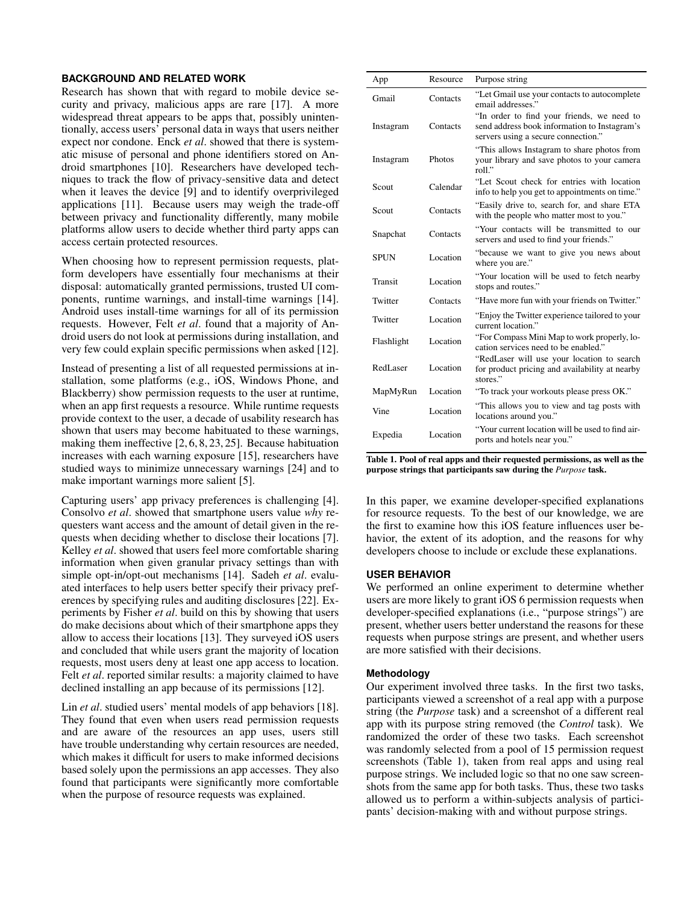## **BACKGROUND AND RELATED WORK**

Research has shown that with regard to mobile device security and privacy, malicious apps are rare [\[17\]](#page-9-1). A more widespread threat appears to be apps that, possibly unintentionally, access users' personal data in ways that users neither expect nor condone. Enck *et al*. showed that there is systematic misuse of personal and phone identifiers stored on Android smartphones [\[10\]](#page-9-2). Researchers have developed techniques to track the flow of privacy-sensitive data and detect when it leaves the device [\[9\]](#page-9-3) and to identify overprivileged applications [\[11\]](#page-9-4). Because users may weigh the trade-off between privacy and functionality differently, many mobile platforms allow users to decide whether third party apps can access certain protected resources.

When choosing how to represent permission requests, platform developers have essentially four mechanisms at their disposal: automatically granted permissions, trusted UI components, runtime warnings, and install-time warnings [14]. Android uses install-time warnings for all of its permission requests. However, Felt *et al*. found that a majority of Android users do not look at permissions during installation, and very few could explain specific permissions when asked [\[12\]](#page-9-5).

Instead of presenting a list of all requested permissions at installation, some platforms (e.g., iOS, Windows Phone, and Blackberry) show permission requests to the user at runtime, when an app first requests a resource. While runtime requests provide context to the user, a decade of usability research has shown that users may become habituated to these warnings, making them ineffective [\[2,](#page-8-1) [6,](#page-8-2) [8,](#page-9-6) [23,](#page-9-7) [25\]](#page-9-8). Because habituation increases with each warning exposure [\[15\]](#page-9-9), researchers have studied ways to minimize unnecessary warnings [\[24\]](#page-9-10) and to make important warnings more salient [\[5\]](#page-8-3).

Capturing users' app privacy preferences is challenging [\[4\]](#page-8-4). Consolvo *et al*. showed that smartphone users value *why* requesters want access and the amount of detail given in the requests when deciding whether to disclose their locations [\[7\]](#page-8-5). Kelley *et al*. showed that users feel more comfortable sharing information when given granular privacy settings than with simple opt-in/opt-out mechanisms [\[14\]](#page-9-11). Sadeh *et al*. evaluated interfaces to help users better specify their privacy preferences by specifying rules and auditing disclosures [\[22\]](#page-9-12). Experiments by Fisher *et al*. build on this by showing that users do make decisions about which of their smartphone apps they allow to access their locations [\[13\]](#page-9-13). They surveyed iOS users and concluded that while users grant the majority of location requests, most users deny at least one app access to location. Felt *et al*. reported similar results: a majority claimed to have declined installing an app because of its permissions [\[12\]](#page-9-5).

Lin *et al*. studied users' mental models of app behaviors [\[18\]](#page-9-14). They found that even when users read permission requests and are aware of the resources an app uses, users still have trouble understanding why certain resources are needed, which makes it difficult for users to make informed decisions based solely upon the permissions an app accesses. They also found that participants were significantly more comfortable when the purpose of resource requests was explained.

| App         | Resource | Purpose string                                                                                                                    |
|-------------|----------|-----------------------------------------------------------------------------------------------------------------------------------|
| Gmail       | Contacts | "Let Gmail use your contacts to autocomplete<br>email addresses."                                                                 |
| Instagram   | Contacts | "In order to find your friends, we need to<br>send address book information to Instagram's<br>servers using a secure connection." |
| Instagram   | Photos   | "This allows Instagram to share photos from<br>your library and save photos to your camera<br>roll."                              |
| Scout       | Calendar | "Let Scout check for entries with location<br>info to help you get to appointments on time."                                      |
| Scout       | Contacts | "Easily drive to, search for, and share ETA<br>with the people who matter most to you."                                           |
| Snapchat    | Contacts | "Your contacts will be transmitted to our<br>servers and used to find your friends."                                              |
| <b>SPUN</b> | Location | "because we want to give you news about<br>where you are."                                                                        |
| Transit     | Location | "Your location will be used to fetch nearby<br>stops and routes."                                                                 |
| Twitter     | Contacts | "Have more fun with your friends on Twitter."                                                                                     |
| Twitter     | Location | "Enjoy the Twitter experience tailored to your<br>current location."                                                              |
| Flashlight  | Location | "For Compass Mini Map to work properly, lo-<br>cation services need to be enabled."                                               |
| RedLaser    | Location | "RedLaser will use your location to search<br>for product pricing and availability at nearby<br>stores."                          |
| MapMyRun    | Location | "To track your workouts please press OK."                                                                                         |
| Vine        | Location | "This allows you to view and tag posts with<br>locations around you."                                                             |
| Expedia     | Location | "Your current location will be used to find air-<br>ports and hotels near you."                                                   |

<span id="page-1-0"></span>Table 1. Pool of real apps and their requested permissions, as well as the purpose strings that participants saw during the *Purpose* task.

In this paper, we examine developer-specified explanations for resource requests. To the best of our knowledge, we are the first to examine how this iOS feature influences user behavior, the extent of its adoption, and the reasons for why developers choose to include or exclude these explanations.

## **USER BEHAVIOR**

We performed an online experiment to determine whether users are more likely to grant iOS 6 permission requests when developer-specified explanations (i.e., "purpose strings") are present, whether users better understand the reasons for these requests when purpose strings are present, and whether users are more satisfied with their decisions.

#### **Methodology**

Our experiment involved three tasks. In the first two tasks, participants viewed a screenshot of a real app with a purpose string (the *Purpose* task) and a screenshot of a different real app with its purpose string removed (the *Control* task). We randomized the order of these two tasks. Each screenshot was randomly selected from a pool of 15 permission request screenshots (Table [1\)](#page-1-0), taken from real apps and using real purpose strings. We included logic so that no one saw screenshots from the same app for both tasks. Thus, these two tasks allowed us to perform a within-subjects analysis of participants' decision-making with and without purpose strings.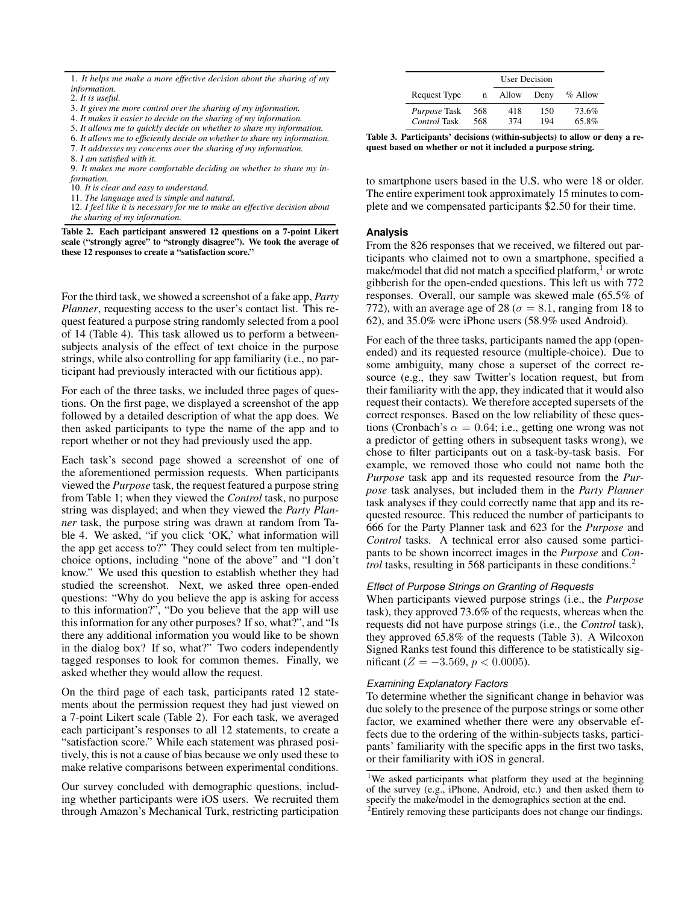3. *It gives me more control over the sharing of my information.*

4. *It makes it easier to decide on the sharing of my information.*

5. *It allows me to quickly decide on whether to share my information.*

6. *It allows me to efficiently decide on whether to share my information.* 7. *It addresses my concerns over the sharing of my information.*

8. *I am satisfied with it.*

9. *It makes me more comfortable deciding on whether to share my information.*

10. *It is clear and easy to understand.*

11. *The language used is simple and natural.*

<span id="page-2-0"></span>12. *I feel like it is necessary for me to make an effective decision about the sharing of my information.*

Table 2. Each participant answered 12 questions on a 7-point Likert scale ("strongly agree" to "strongly disagree"). We took the average of these 12 responses to create a "satisfaction score."

For the third task, we showed a screenshot of a fake app, *Party Planner*, requesting access to the user's contact list. This request featured a purpose string randomly selected from a pool of 14 (Table [4\)](#page-4-0). This task allowed us to perform a betweensubjects analysis of the effect of text choice in the purpose strings, while also controlling for app familiarity (i.e., no participant had previously interacted with our fictitious app).

For each of the three tasks, we included three pages of questions. On the first page, we displayed a screenshot of the app followed by a detailed description of what the app does. We then asked participants to type the name of the app and to report whether or not they had previously used the app.

Each task's second page showed a screenshot of one of the aforementioned permission requests. When participants viewed the *Purpose* task, the request featured a purpose string from Table [1;](#page-1-0) when they viewed the *Control* task, no purpose string was displayed; and when they viewed the *Party Planner* task, the purpose string was drawn at random from Table [4.](#page-4-0) We asked, "if you click 'OK,' what information will the app get access to?" They could select from ten multiplechoice options, including "none of the above" and "I don't know." We used this question to establish whether they had studied the screenshot. Next, we asked three open-ended questions: "Why do you believe the app is asking for access to this information?", "Do you believe that the app will use this information for any other purposes? If so, what?", and "Is there any additional information you would like to be shown in the dialog box? If so, what?" Two coders independently tagged responses to look for common themes. Finally, we asked whether they would allow the request.

On the third page of each task, participants rated 12 statements about the permission request they had just viewed on a 7-point Likert scale (Table [2\)](#page-2-0). For each task, we averaged each participant's responses to all 12 statements, to create a "satisfaction score." While each statement was phrased positively, this is not a cause of bias because we only used these to make relative comparisons between experimental conditions.

Our survey concluded with demographic questions, including whether participants were iOS users. We recruited them through Amazon's Mechanical Turk, restricting participation

|                                     |            | User Decision |            |                |
|-------------------------------------|------------|---------------|------------|----------------|
| Request Type                        | n          | Allow         | Deny       | % Allow        |
| <i>Purpose</i> Task<br>Control Task | 568<br>568 | 418<br>374    | 150<br>194 | 73.6%<br>65.8% |

<span id="page-2-3"></span>Table 3. Participants' decisions (within-subjects) to allow or deny a request based on whether or not it included a purpose string.

to smartphone users based in the U.S. who were 18 or older. The entire experiment took approximately 15 minutes to complete and we compensated participants \$2.50 for their time.

# **Analysis**

From the 826 responses that we received, we filtered out participants who claimed not to own a smartphone, specified a make/model that did not match a specified platform, $\frac{1}{1}$  $\frac{1}{1}$  $\frac{1}{1}$  or wrote gibberish for the open-ended questions. This left us with 772 responses. Overall, our sample was skewed male (65.5% of 772), with an average age of 28 ( $\sigma = 8.1$ , ranging from 18 to 62), and 35.0% were iPhone users (58.9% used Android).

For each of the three tasks, participants named the app (openended) and its requested resource (multiple-choice). Due to some ambiguity, many chose a superset of the correct resource (e.g., they saw Twitter's location request, but from their familiarity with the app, they indicated that it would also request their contacts). We therefore accepted supersets of the correct responses. Based on the low reliability of these questions (Cronbach's  $\alpha = 0.64$ ; i.e., getting one wrong was not a predictor of getting others in subsequent tasks wrong), we chose to filter participants out on a task-by-task basis. For example, we removed those who could not name both the *Purpose* task app and its requested resource from the *Purpose* task analyses, but included them in the *Party Planner* task analyses if they could correctly name that app and its requested resource. This reduced the number of participants to 666 for the Party Planner task and 623 for the *Purpose* and *Control* tasks. A technical error also caused some participants to be shown incorrect images in the *Purpose* and *Control* tasks, resulting in 568 participants in these conditions.<sup>[2](#page-2-2)</sup>

# *Effect of Purpose Strings on Granting of Requests*

When participants viewed purpose strings (i.e., the *Purpose* task), they approved 73.6% of the requests, whereas when the requests did not have purpose strings (i.e., the *Control* task), they approved 65.8% of the requests (Table [3\)](#page-2-3). A Wilcoxon Signed Ranks test found this difference to be statistically significant ( $Z = -3.569, p < 0.0005$ ).

# *Examining Explanatory Factors*

To determine whether the significant change in behavior was due solely to the presence of the purpose strings or some other factor, we examined whether there were any observable effects due to the ordering of the within-subjects tasks, participants' familiarity with the specific apps in the first two tasks, or their familiarity with iOS in general.

<sup>1.</sup> *It helps me make a more effective decision about the sharing of my information.*

<sup>2.</sup> *It is useful.*

<span id="page-2-1"></span><sup>&</sup>lt;sup>1</sup>We asked participants what platform they used at the beginning of the survey (e.g., iPhone, Android, etc.) and then asked them to specify the make/model in the demographics section at the end.

<span id="page-2-2"></span> $2$ Entirely removing these participants does not change our findings.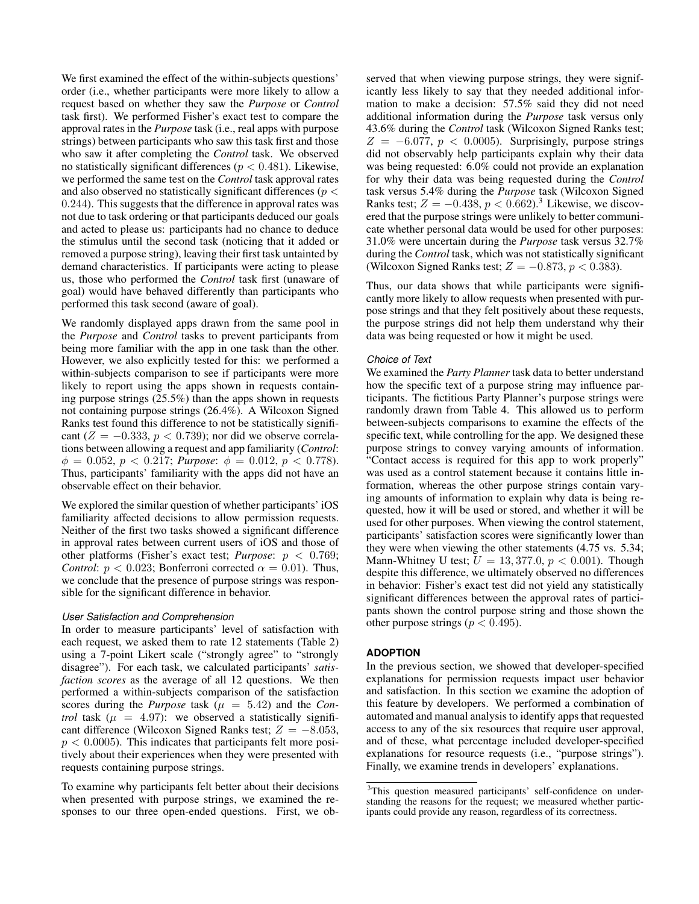We first examined the effect of the within-subjects questions' order (i.e., whether participants were more likely to allow a request based on whether they saw the *Purpose* or *Control* task first). We performed Fisher's exact test to compare the approval rates in the *Purpose* task (i.e., real apps with purpose strings) between participants who saw this task first and those who saw it after completing the *Control* task. We observed no statistically significant differences ( $p < 0.481$ ). Likewise, we performed the same test on the *Control* task approval rates and also observed no statistically significant differences ( $p <$ 0.244). This suggests that the difference in approval rates was not due to task ordering or that participants deduced our goals and acted to please us: participants had no chance to deduce the stimulus until the second task (noticing that it added or removed a purpose string), leaving their first task untainted by demand characteristics. If participants were acting to please us, those who performed the *Control* task first (unaware of goal) would have behaved differently than participants who performed this task second (aware of goal).

We randomly displayed apps drawn from the same pool in the *Purpose* and *Control* tasks to prevent participants from being more familiar with the app in one task than the other. However, we also explicitly tested for this: we performed a within-subjects comparison to see if participants were more likely to report using the apps shown in requests containing purpose strings (25.5%) than the apps shown in requests not containing purpose strings (26.4%). A Wilcoxon Signed Ranks test found this difference to not be statistically significant ( $Z = -0.333$ ,  $p < 0.739$ ); nor did we observe correlations between allowing a request and app familiarity (*Control*:  $\phi = 0.052$ ,  $p < 0.217$ ; *Purpose*:  $\phi = 0.012$ ,  $p < 0.778$ ). Thus, participants' familiarity with the apps did not have an observable effect on their behavior.

We explored the similar question of whether participants' iOS familiarity affected decisions to allow permission requests. Neither of the first two tasks showed a significant difference in approval rates between current users of iOS and those of other platforms (Fisher's exact test; *Purpose*: p < 0.769; *Control:*  $p < 0.023$ ; Bonferroni corrected  $\alpha = 0.01$ ). Thus, we conclude that the presence of purpose strings was responsible for the significant difference in behavior.

#### *User Satisfaction and Comprehension*

In order to measure participants' level of satisfaction with each request, we asked them to rate 12 statements (Table [2\)](#page-2-0) using a 7-point Likert scale ("strongly agree" to "strongly disagree"). For each task, we calculated participants' *satisfaction scores* as the average of all 12 questions. We then performed a within-subjects comparison of the satisfaction scores during the *Purpose* task ( $\mu = 5.42$ ) and the *Control* task ( $\mu$  = 4.97): we observed a statistically significant difference (Wilcoxon Signed Ranks test;  $Z = -8.053$ ,  $p < 0.0005$ ). This indicates that participants felt more positively about their experiences when they were presented with requests containing purpose strings.

To examine why participants felt better about their decisions when presented with purpose strings, we examined the responses to our three open-ended questions. First, we observed that when viewing purpose strings, they were significantly less likely to say that they needed additional information to make a decision: 57.5% said they did not need additional information during the *Purpose* task versus only 43.6% during the *Control* task (Wilcoxon Signed Ranks test;  $Z = -6.077$ ,  $p < 0.0005$ ). Surprisingly, purpose strings did not observably help participants explain why their data was being requested: 6.0% could not provide an explanation for why their data was being requested during the *Control* task versus 5.4% during the *Purpose* task (Wilcoxon Signed Ranks test;  $Z = -0.438$  $Z = -0.438$  $Z = -0.438$ ,  $p < 0.662$ ).<sup>3</sup> Likewise, we discovered that the purpose strings were unlikely to better communicate whether personal data would be used for other purposes: 31.0% were uncertain during the *Purpose* task versus 32.7% during the *Control* task, which was not statistically significant (Wilcoxon Signed Ranks test;  $Z = -0.873$ ,  $p < 0.383$ ).

Thus, our data shows that while participants were significantly more likely to allow requests when presented with purpose strings and that they felt positively about these requests, the purpose strings did not help them understand why their data was being requested or how it might be used.

## *Choice of Text*

We examined the *Party Planner* task data to better understand how the specific text of a purpose string may influence participants. The fictitious Party Planner's purpose strings were randomly drawn from Table [4.](#page-4-0) This allowed us to perform between-subjects comparisons to examine the effects of the specific text, while controlling for the app. We designed these purpose strings to convey varying amounts of information. "Contact access is required for this app to work properly" was used as a control statement because it contains little information, whereas the other purpose strings contain varying amounts of information to explain why data is being requested, how it will be used or stored, and whether it will be used for other purposes. When viewing the control statement, participants' satisfaction scores were significantly lower than they were when viewing the other statements (4.75 vs. 5.34; Mann-Whitney U test;  $U = 13,377.0, p < 0.001$ ). Though despite this difference, we ultimately observed no differences in behavior: Fisher's exact test did not yield any statistically significant differences between the approval rates of participants shown the control purpose string and those shown the other purpose strings ( $p < 0.495$ ).

# **ADOPTION**

In the previous section, we showed that developer-specified explanations for permission requests impact user behavior and satisfaction. In this section we examine the adoption of this feature by developers. We performed a combination of automated and manual analysis to identify apps that requested access to any of the six resources that require user approval, and of these, what percentage included developer-specified explanations for resource requests (i.e., "purpose strings"). Finally, we examine trends in developers' explanations.

<span id="page-3-0"></span><sup>3</sup>This question measured participants' self-confidence on understanding the reasons for the request; we measured whether participants could provide any reason, regardless of its correctness.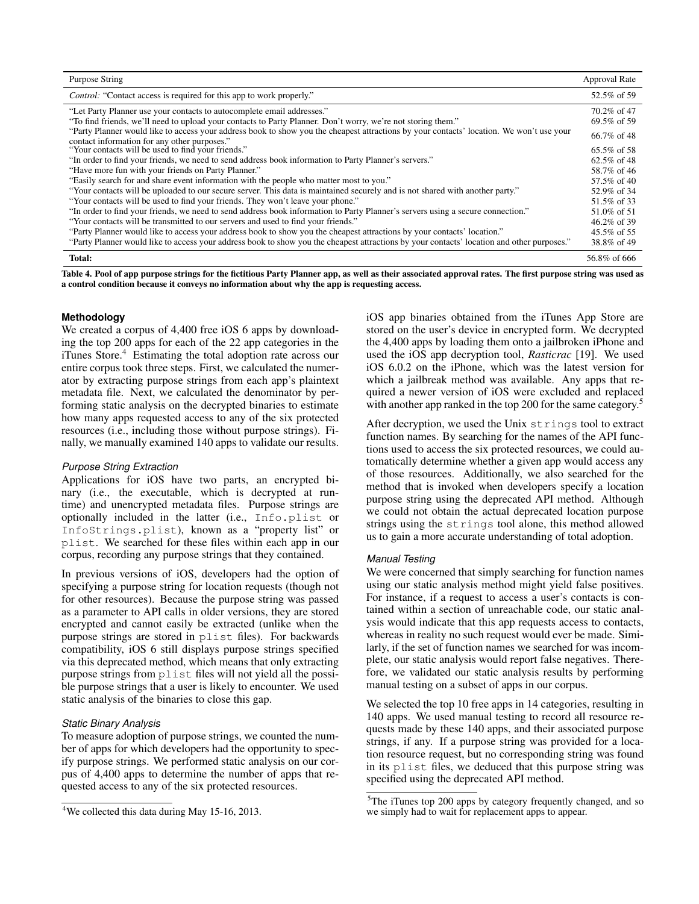| Purpose String                                                                                                                                                                           | <b>Approval Rate</b>        |  |
|------------------------------------------------------------------------------------------------------------------------------------------------------------------------------------------|-----------------------------|--|
| <i>Control:</i> "Contact access is required for this app to work properly."                                                                                                              | 52.5% of 59                 |  |
| "Let Party Planner use your contacts to autocomplete email addresses."<br>"To find friends, we'll need to upload your contacts to Party Planner. Don't worry, we're not storing them."   | 70.2\% of 47<br>69.5% of 59 |  |
| "Party Planner would like to access your address book to show you the cheapest attractions by your contacts' location. We won't use your<br>contact information for any other purposes." | $66.7\%$ of 48              |  |
| "Your contacts will be used to find your friends."                                                                                                                                       | $65.5\%$ of 58              |  |
| "In order to find your friends, we need to send address book information to Party Planner's servers."                                                                                    |                             |  |
| "Have more fun with your friends on Party Planner."                                                                                                                                      |                             |  |
| "Easily search for and share event information with the people who matter most to you."                                                                                                  |                             |  |
| "Your contacts will be uploaded to our secure server. This data is maintained securely and is not shared with another party."                                                            |                             |  |
| "Your contacts will be used to find your friends. They won't leave your phone."                                                                                                          |                             |  |
| "In order to find your friends, we need to send address book information to Party Planner's servers using a secure connection."                                                          |                             |  |
| "Your contacts will be transmitted to our servers and used to find your friends."                                                                                                        | 46.2\% of 39                |  |
| "Party Planner would like to access your address book to show you the cheapest attractions by your contacts' location."                                                                  | 45.5% of 55                 |  |
| "Party Planner would like to access your address book to show you the cheapest attractions by your contacts' location and other purposes."                                               | 38.8% of 49                 |  |
| Total:                                                                                                                                                                                   | 56.8% of 666                |  |

<span id="page-4-0"></span>Table 4. Pool of app purpose strings for the fictitious Party Planner app, as well as their associated approval rates. The first purpose string was used as a control condition because it conveys no information about why the app is requesting access.

## **Methodology**

We created a corpus of 4,400 free iOS 6 apps by downloading the top 200 apps for each of the 22 app categories in the iTunes Store.[4](#page-4-1) Estimating the total adoption rate across our entire corpus took three steps. First, we calculated the numerator by extracting purpose strings from each app's plaintext metadata file. Next, we calculated the denominator by performing static analysis on the decrypted binaries to estimate how many apps requested access to any of the six protected resources (i.e., including those without purpose strings). Finally, we manually examined 140 apps to validate our results.

# *Purpose String Extraction*

Applications for iOS have two parts, an encrypted binary (i.e., the executable, which is decrypted at runtime) and unencrypted metadata files. Purpose strings are optionally included in the latter (i.e., Info.plist or InfoStrings.plist), known as a "property list" or plist. We searched for these files within each app in our corpus, recording any purpose strings that they contained.

In previous versions of iOS, developers had the option of specifying a purpose string for location requests (though not for other resources). Because the purpose string was passed as a parameter to API calls in older versions, they are stored encrypted and cannot easily be extracted (unlike when the purpose strings are stored in plist files). For backwards compatibility, iOS 6 still displays purpose strings specified via this deprecated method, which means that only extracting purpose strings from plist files will not yield all the possible purpose strings that a user is likely to encounter. We used static analysis of the binaries to close this gap.

# *Static Binary Analysis*

To measure adoption of purpose strings, we counted the number of apps for which developers had the opportunity to specify purpose strings. We performed static analysis on our corpus of 4,400 apps to determine the number of apps that requested access to any of the six protected resources.

iOS app binaries obtained from the iTunes App Store are stored on the user's device in encrypted form. We decrypted the 4,400 apps by loading them onto a jailbroken iPhone and used the iOS app decryption tool, *Rasticrac* [\[19\]](#page-9-15). We used iOS 6.0.2 on the iPhone, which was the latest version for which a jailbreak method was available. Any apps that required a newer version of iOS were excluded and replaced with another app ranked in the top 200 for the same category.<sup>[5](#page-4-2)</sup>

After decryption, we used the Unix strings tool to extract function names. By searching for the names of the API functions used to access the six protected resources, we could automatically determine whether a given app would access any of those resources. Additionally, we also searched for the method that is invoked when developers specify a location purpose string using the deprecated API method. Although we could not obtain the actual deprecated location purpose strings using the strings tool alone, this method allowed us to gain a more accurate understanding of total adoption.

#### *Manual Testing*

We were concerned that simply searching for function names using our static analysis method might yield false positives. For instance, if a request to access a user's contacts is contained within a section of unreachable code, our static analysis would indicate that this app requests access to contacts, whereas in reality no such request would ever be made. Similarly, if the set of function names we searched for was incomplete, our static analysis would report false negatives. Therefore, we validated our static analysis results by performing manual testing on a subset of apps in our corpus.

We selected the top 10 free apps in 14 categories, resulting in 140 apps. We used manual testing to record all resource requests made by these 140 apps, and their associated purpose strings, if any. If a purpose string was provided for a location resource request, but no corresponding string was found in its plist files, we deduced that this purpose string was specified using the deprecated API method.

<span id="page-4-1"></span><sup>4</sup>We collected this data during May 15-16, 2013.

<span id="page-4-2"></span><sup>&</sup>lt;sup>5</sup>The iTunes top 200 apps by category frequently changed, and so we simply had to wait for replacement apps to appear.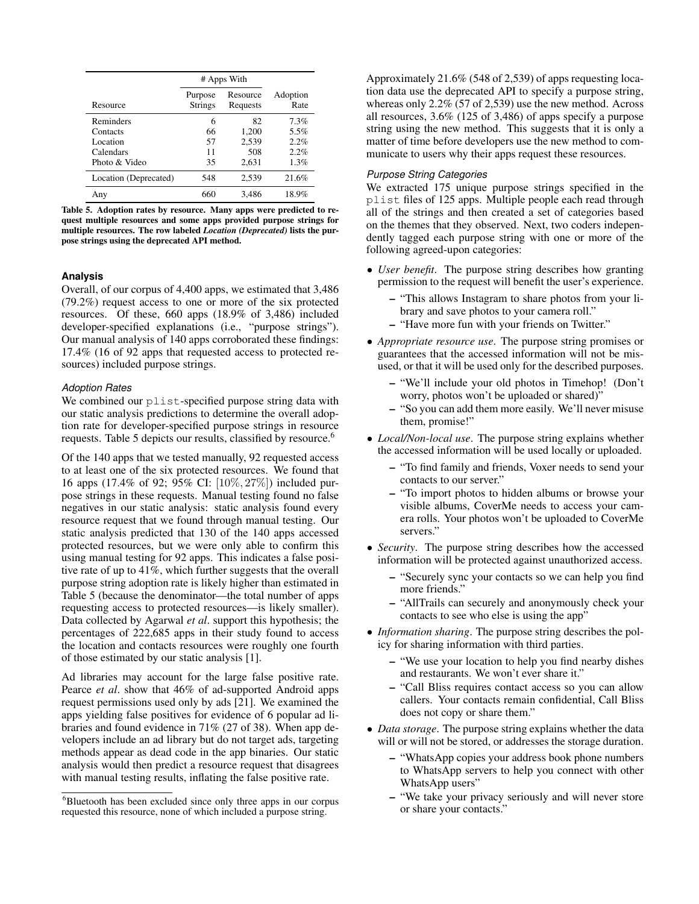|                       | # Apps With               |                      |                  |
|-----------------------|---------------------------|----------------------|------------------|
| Resource              | Purpose<br><b>Strings</b> | Resource<br>Requests | Adoption<br>Rate |
| Reminders             | 6                         | 82                   | 7.3%             |
| Contacts              | 66                        | 1,200                | 5.5%             |
| Location              | 57                        | 2,539                | 2.2%             |
| Calendars             | 11                        | 508                  | 2.2%             |
| Photo & Video         | 35                        | 2.631                | 1.3%             |
| Location (Deprecated) | 548                       | 2.539                | 21.6%            |
| Any                   | 660                       | 3,486                | 18.9%            |

<span id="page-5-0"></span>Table 5. Adoption rates by resource. Many apps were predicted to request multiple resources and some apps provided purpose strings for multiple resources. The row labeled *Location (Deprecated)* lists the purpose strings using the deprecated API method.

#### **Analysis**

Overall, of our corpus of 4,400 apps, we estimated that 3,486 (79.2%) request access to one or more of the six protected resources. Of these, 660 apps (18.9% of 3,486) included developer-specified explanations (i.e., "purpose strings"). Our manual analysis of 140 apps corroborated these findings: 17.4% (16 of 92 apps that requested access to protected resources) included purpose strings.

#### *Adoption Rates*

We combined our plist-specified purpose string data with our static analysis predictions to determine the overall adoption rate for developer-specified purpose strings in resource requests. Table [5](#page-5-0) depicts our results, classified by resource.<sup>[6](#page-5-1)</sup>

Of the 140 apps that we tested manually, 92 requested access to at least one of the six protected resources. We found that 16 apps (17.4% of 92; 95% CI: [10%, 27%]) included purpose strings in these requests. Manual testing found no false negatives in our static analysis: static analysis found every resource request that we found through manual testing. Our static analysis predicted that 130 of the 140 apps accessed protected resources, but we were only able to confirm this using manual testing for 92 apps. This indicates a false positive rate of up to 41%, which further suggests that the overall purpose string adoption rate is likely higher than estimated in Table [5](#page-5-0) (because the denominator—the total number of apps requesting access to protected resources—is likely smaller). Data collected by Agarwal *et al*. support this hypothesis; the percentages of 222,685 apps in their study found to access the location and contacts resources were roughly one fourth of those estimated by our static analysis [\[1\]](#page-8-6).

Ad libraries may account for the large false positive rate. Pearce *et al*. show that 46% of ad-supported Android apps request permissions used only by ads [\[21\]](#page-9-16). We examined the apps yielding false positives for evidence of 6 popular ad libraries and found evidence in 71% (27 of 38). When app developers include an ad library but do not target ads, targeting methods appear as dead code in the app binaries. Our static analysis would then predict a resource request that disagrees with manual testing results, inflating the false positive rate.

Approximately 21.6% (548 of 2,539) of apps requesting location data use the deprecated API to specify a purpose string, whereas only 2.2% (57 of 2,539) use the new method. Across all resources, 3.6% (125 of 3,486) of apps specify a purpose string using the new method. This suggests that it is only a matter of time before developers use the new method to communicate to users why their apps request these resources.

## *Purpose String Categories*

We extracted 175 unique purpose strings specified in the plist files of 125 apps. Multiple people each read through all of the strings and then created a set of categories based on the themes that they observed. Next, two coders independently tagged each purpose string with one or more of the following agreed-upon categories:

- *User benefit*. The purpose string describes how granting permission to the request will benefit the user's experience.
	- "This allows Instagram to share photos from your library and save photos to your camera roll."
	- "Have more fun with your friends on Twitter."
- *Appropriate resource use*. The purpose string promises or guarantees that the accessed information will not be misused, or that it will be used only for the described purposes.
	- "We'll include your old photos in Timehop! (Don't worry, photos won't be uploaded or shared)"
	- "So you can add them more easily. We'll never misuse them, promise!"
- *Local/Non-local use*. The purpose string explains whether the accessed information will be used locally or uploaded.
	- "To find family and friends, Voxer needs to send your contacts to our server."
	- "To import photos to hidden albums or browse your visible albums, CoverMe needs to access your camera rolls. Your photos won't be uploaded to CoverMe servers."
- *Security*. The purpose string describes how the accessed information will be protected against unauthorized access.
	- "Securely sync your contacts so we can help you find more friends."
	- "AllTrails can securely and anonymously check your contacts to see who else is using the app"
- *Information sharing*. The purpose string describes the policy for sharing information with third parties.
	- "We use your location to help you find nearby dishes and restaurants. We won't ever share it."
	- "Call Bliss requires contact access so you can allow callers. Your contacts remain confidential, Call Bliss does not copy or share them."
- *Data storage*. The purpose string explains whether the data will or will not be stored, or addresses the storage duration.
	- "WhatsApp copies your address book phone numbers to WhatsApp servers to help you connect with other WhatsApp users"
	- "We take your privacy seriously and will never store or share your contacts."

<span id="page-5-1"></span> $6B$ luetooth has been excluded since only three apps in our corpus requested this resource, none of which included a purpose string.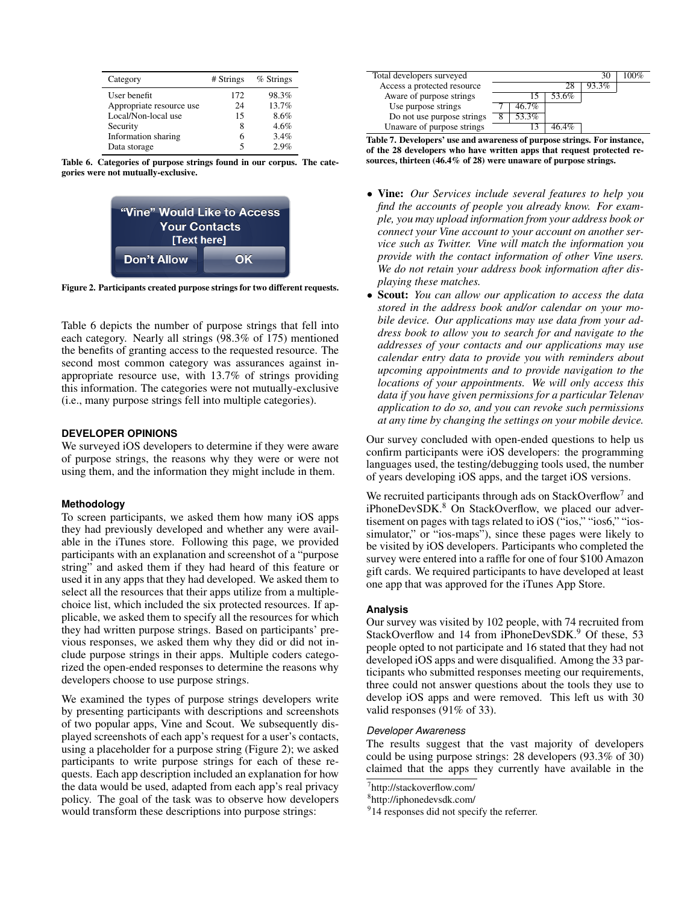| Category                 | # Strings | % Strings |
|--------------------------|-----------|-----------|
| User benefit             | 172       | 98.3%     |
| Appropriate resource use | 24        | 13.7%     |
| Local/Non-local use      | 15        | 8.6%      |
| Security                 | 8         | 4.6%      |
| Information sharing      | 6         | 3.4%      |
| Data storage             | 5         | 29%       |

<span id="page-6-0"></span>Table 6. Categories of purpose strings found in our corpus. The categories were not mutually-exclusive.



<span id="page-6-1"></span>Figure 2. Participants created purpose strings for two different requests.

Table [6](#page-6-0) depicts the number of purpose strings that fell into each category. Nearly all strings (98.3% of 175) mentioned the benefits of granting access to the requested resource. The second most common category was assurances against inappropriate resource use, with 13.7% of strings providing this information. The categories were not mutually-exclusive (i.e., many purpose strings fell into multiple categories).

#### **DEVELOPER OPINIONS**

We surveyed iOS developers to determine if they were aware of purpose strings, the reasons why they were or were not using them, and the information they might include in them.

#### **Methodology**

To screen participants, we asked them how many iOS apps they had previously developed and whether any were available in the iTunes store. Following this page, we provided participants with an explanation and screenshot of a "purpose string" and asked them if they had heard of this feature or used it in any apps that they had developed. We asked them to select all the resources that their apps utilize from a multiplechoice list, which included the six protected resources. If applicable, we asked them to specify all the resources for which they had written purpose strings. Based on participants' previous responses, we asked them why they did or did not include purpose strings in their apps. Multiple coders categorized the open-ended responses to determine the reasons why developers choose to use purpose strings.

We examined the types of purpose strings developers write by presenting participants with descriptions and screenshots of two popular apps, Vine and Scout. We subsequently displayed screenshots of each app's request for a user's contacts, using a placeholder for a purpose string (Figure [2\)](#page-6-1); we asked participants to write purpose strings for each of these requests. Each app description included an explanation for how the data would be used, adapted from each app's real privacy policy. The goal of the task was to observe how developers would transform these descriptions into purpose strings:



<span id="page-6-5"></span>Table 7. Developers' use and awareness of purpose strings. For instance, of the 28 developers who have written apps that request protected resources, thirteen (46.4% of 28) were unaware of purpose strings.

- Vine: *Our Services include several features to help you find the accounts of people you already know. For example, you may upload information from your address book or connect your Vine account to your account on another service such as Twitter. Vine will match the information you provide with the contact information of other Vine users. We do not retain your address book information after displaying these matches.*
- Scout: *You can allow our application to access the data stored in the address book and/or calendar on your mobile device. Our applications may use data from your address book to allow you to search for and navigate to the addresses of your contacts and our applications may use calendar entry data to provide you with reminders about upcoming appointments and to provide navigation to the locations of your appointments. We will only access this data if you have given permissions for a particular Telenav application to do so, and you can revoke such permissions at any time by changing the settings on your mobile device.*

Our survey concluded with open-ended questions to help us confirm participants were iOS developers: the programming languages used, the testing/debugging tools used, the number of years developing iOS apps, and the target iOS versions.

We recruited participants through ads on StackOverflow<sup>[7](#page-6-2)</sup> and iPhoneDevSDK.<sup>[8](#page-6-3)</sup> On StackOverflow, we placed our advertisement on pages with tags related to iOS ("ios," "ios6," "iossimulator," or "ios-maps"), since these pages were likely to be visited by iOS developers. Participants who completed the survey were entered into a raffle for one of four \$100 Amazon gift cards. We required participants to have developed at least one app that was approved for the iTunes App Store.

## **Analysis**

Our survey was visited by 102 people, with 74 recruited from StackOverflow and 14 from iPhoneDevSDK.<sup>[9](#page-6-4)</sup> Of these, 53 people opted to not participate and 16 stated that they had not developed iOS apps and were disqualified. Among the 33 participants who submitted responses meeting our requirements, three could not answer questions about the tools they use to develop iOS apps and were removed. This left us with 30 valid responses (91% of 33).

#### *Developer Awareness*

The results suggest that the vast majority of developers could be using purpose strings: 28 developers (93.3% of 30) claimed that the apps they currently have available in the

<span id="page-6-2"></span><sup>7</sup> http://stackoverflow.com/

<span id="page-6-3"></span><sup>8</sup> http://iphonedevsdk.com/

<span id="page-6-4"></span><sup>&</sup>lt;sup>9</sup>14 responses did not specify the referrer.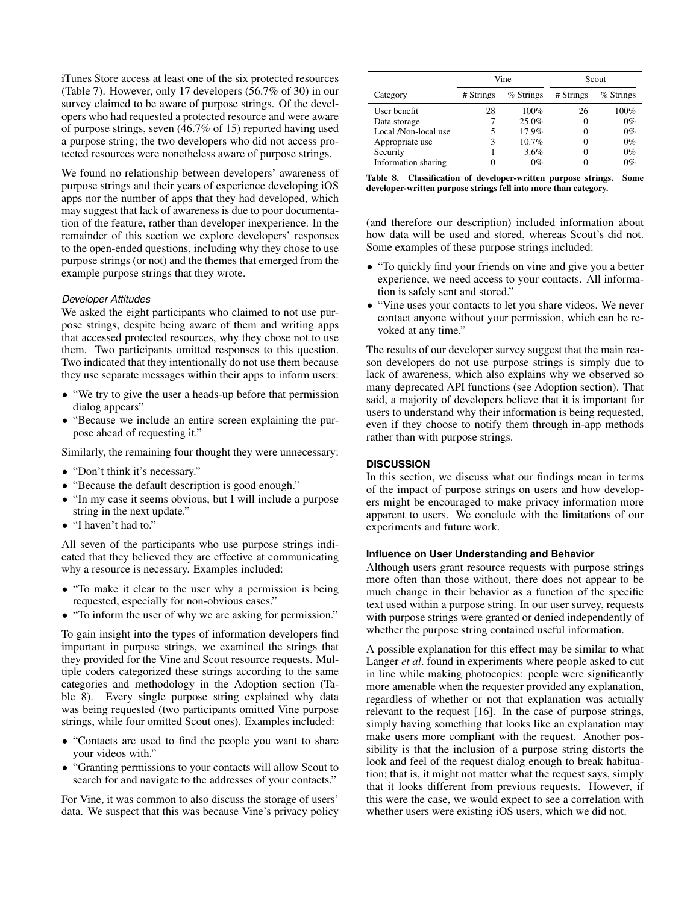iTunes Store access at least one of the six protected resources (Table [7\)](#page-6-5). However, only 17 developers (56.7% of 30) in our survey claimed to be aware of purpose strings. Of the developers who had requested a protected resource and were aware of purpose strings, seven (46.7% of 15) reported having used a purpose string; the two developers who did not access protected resources were nonetheless aware of purpose strings.

We found no relationship between developers' awareness of purpose strings and their years of experience developing iOS apps nor the number of apps that they had developed, which may suggest that lack of awareness is due to poor documentation of the feature, rather than developer inexperience. In the remainder of this section we explore developers' responses to the open-ended questions, including why they chose to use purpose strings (or not) and the themes that emerged from the example purpose strings that they wrote.

#### *Developer Attitudes*

We asked the eight participants who claimed to not use purpose strings, despite being aware of them and writing apps that accessed protected resources, why they chose not to use them. Two participants omitted responses to this question. Two indicated that they intentionally do not use them because they use separate messages within their apps to inform users:

- "We try to give the user a heads-up before that permission dialog appears"
- "Because we include an entire screen explaining the purpose ahead of requesting it."

Similarly, the remaining four thought they were unnecessary:

- "Don't think it's necessary."
- "Because the default description is good enough."
- "In my case it seems obvious, but I will include a purpose string in the next update."
- "I haven't had to."

All seven of the participants who use purpose strings indicated that they believed they are effective at communicating why a resource is necessary. Examples included:

- "To make it clear to the user why a permission is being requested, especially for non-obvious cases."
- "To inform the user of why we are asking for permission."

To gain insight into the types of information developers find important in purpose strings, we examined the strings that they provided for the Vine and Scout resource requests. Multiple coders categorized these strings according to the same categories and methodology in the Adoption section (Table [8\)](#page-7-0). Every single purpose string explained why data was being requested (two participants omitted Vine purpose strings, while four omitted Scout ones). Examples included:

- "Contacts are used to find the people you want to share your videos with."
- "Granting permissions to your contacts will allow Scout to search for and navigate to the addresses of your contacts."

For Vine, it was common to also discuss the storage of users' data. We suspect that this was because Vine's privacy policy

|                      | Vine      |           | Scout     |           |
|----------------------|-----------|-----------|-----------|-----------|
| Category             | # Strings | % Strings | # Strings | % Strings |
| User benefit         | 28        | 100%      | 26        | 100%      |
| Data storage         |           | 25.0%     |           | $0\%$     |
| Local /Non-local use | 5         | 17.9%     |           | $0\%$     |
| Appropriate use      | 3         | 10.7%     |           | $0\%$     |
| Security             |           | 3.6%      |           | $0\%$     |
| Information sharing  | O         | $0\%$     |           | $0\%$     |

<span id="page-7-0"></span>

|                                                                 |  |  |  | Table 8. Classification of developer-written purpose strings. Some |  |  |
|-----------------------------------------------------------------|--|--|--|--------------------------------------------------------------------|--|--|
| developer-written purpose strings fell into more than category. |  |  |  |                                                                    |  |  |

(and therefore our description) included information about how data will be used and stored, whereas Scout's did not. Some examples of these purpose strings included:

- "To quickly find your friends on vine and give you a better experience, we need access to your contacts. All information is safely sent and stored."
- "Vine uses your contacts to let you share videos. We never contact anyone without your permission, which can be revoked at any time."

The results of our developer survey suggest that the main reason developers do not use purpose strings is simply due to lack of awareness, which also explains why we observed so many deprecated API functions (see Adoption section). That said, a majority of developers believe that it is important for users to understand why their information is being requested, even if they choose to notify them through in-app methods rather than with purpose strings.

#### **DISCUSSION**

In this section, we discuss what our findings mean in terms of the impact of purpose strings on users and how developers might be encouraged to make privacy information more apparent to users. We conclude with the limitations of our experiments and future work.

## **Influence on User Understanding and Behavior**

Although users grant resource requests with purpose strings more often than those without, there does not appear to be much change in their behavior as a function of the specific text used within a purpose string. In our user survey, requests with purpose strings were granted or denied independently of whether the purpose string contained useful information.

A possible explanation for this effect may be similar to what Langer *et al*. found in experiments where people asked to cut in line while making photocopies: people were significantly more amenable when the requester provided any explanation, regardless of whether or not that explanation was actually relevant to the request [\[16\]](#page-9-17). In the case of purpose strings, simply having something that looks like an explanation may make users more compliant with the request. Another possibility is that the inclusion of a purpose string distorts the look and feel of the request dialog enough to break habituation; that is, it might not matter what the request says, simply that it looks different from previous requests. However, if this were the case, we would expect to see a correlation with whether users were existing iOS users, which we did not.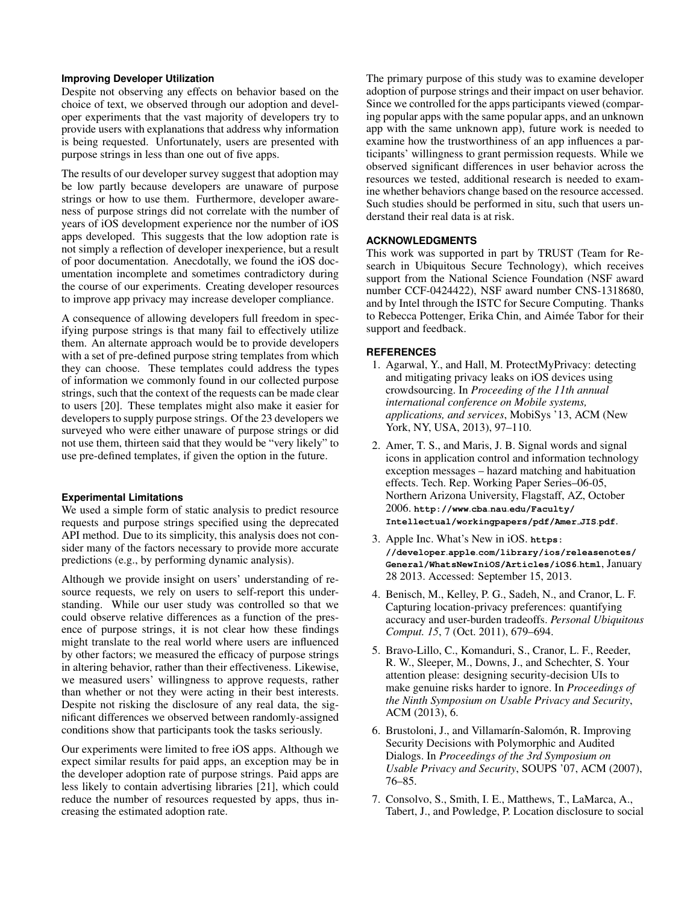## **Improving Developer Utilization**

Despite not observing any effects on behavior based on the choice of text, we observed through our adoption and developer experiments that the vast majority of developers try to provide users with explanations that address why information is being requested. Unfortunately, users are presented with purpose strings in less than one out of five apps.

The results of our developer survey suggest that adoption may be low partly because developers are unaware of purpose strings or how to use them. Furthermore, developer awareness of purpose strings did not correlate with the number of years of iOS development experience nor the number of iOS apps developed. This suggests that the low adoption rate is not simply a reflection of developer inexperience, but a result of poor documentation. Anecdotally, we found the iOS documentation incomplete and sometimes contradictory during the course of our experiments. Creating developer resources to improve app privacy may increase developer compliance.

A consequence of allowing developers full freedom in specifying purpose strings is that many fail to effectively utilize them. An alternate approach would be to provide developers with a set of pre-defined purpose string templates from which they can choose. These templates could address the types of information we commonly found in our collected purpose strings, such that the context of the requests can be made clear to users [\[20\]](#page-9-18). These templates might also make it easier for developers to supply purpose strings. Of the 23 developers we surveyed who were either unaware of purpose strings or did not use them, thirteen said that they would be "very likely" to use pre-defined templates, if given the option in the future.

# **Experimental Limitations**

We used a simple form of static analysis to predict resource requests and purpose strings specified using the deprecated API method. Due to its simplicity, this analysis does not consider many of the factors necessary to provide more accurate predictions (e.g., by performing dynamic analysis).

Although we provide insight on users' understanding of resource requests, we rely on users to self-report this understanding. While our user study was controlled so that we could observe relative differences as a function of the presence of purpose strings, it is not clear how these findings might translate to the real world where users are influenced by other factors; we measured the efficacy of purpose strings in altering behavior, rather than their effectiveness. Likewise, we measured users' willingness to approve requests, rather than whether or not they were acting in their best interests. Despite not risking the disclosure of any real data, the significant differences we observed between randomly-assigned conditions show that participants took the tasks seriously.

Our experiments were limited to free iOS apps. Although we expect similar results for paid apps, an exception may be in the developer adoption rate of purpose strings. Paid apps are less likely to contain advertising libraries [\[21\]](#page-9-16), which could reduce the number of resources requested by apps, thus increasing the estimated adoption rate.

The primary purpose of this study was to examine developer adoption of purpose strings and their impact on user behavior. Since we controlled for the apps participants viewed (comparing popular apps with the same popular apps, and an unknown app with the same unknown app), future work is needed to examine how the trustworthiness of an app influences a participants' willingness to grant permission requests. While we observed significant differences in user behavior across the resources we tested, additional research is needed to examine whether behaviors change based on the resource accessed. Such studies should be performed in situ, such that users understand their real data is at risk.

## **ACKNOWLEDGMENTS**

This work was supported in part by TRUST (Team for Research in Ubiquitous Secure Technology), which receives support from the National Science Foundation (NSF award number CCF-0424422), NSF award number CNS-1318680, and by Intel through the ISTC for Secure Computing. Thanks to Rebecca Pottenger, Erika Chin, and Aimée Tabor for their support and feedback.

## <span id="page-8-6"></span>**REFERENCES**

- 1. Agarwal, Y., and Hall, M. ProtectMyPrivacy: detecting and mitigating privacy leaks on iOS devices using crowdsourcing. In *Proceeding of the 11th annual international conference on Mobile systems, applications, and services*, MobiSys '13, ACM (New York, NY, USA, 2013), 97–110.
- <span id="page-8-1"></span>2. Amer, T. S., and Maris, J. B. Signal words and signal icons in application control and information technology exception messages – hazard matching and habituation effects. Tech. Rep. Working Paper Series–06-05, Northern Arizona University, Flagstaff, AZ, October 2006. **http://www**.**cba**.**nau**.**[edu/Faculty/](http://www.cba.nau.edu/Faculty/Intellectual/workingpapers/pdf/Amer_JIS.pdf) [Intellectual/workingpapers/pdf/Amer](http://www.cba.nau.edu/Faculty/Intellectual/workingpapers/pdf/Amer_JIS.pdf) JIS**.**pdf**.
- <span id="page-8-0"></span>3. Apple Inc. What's New in iOS. **[https:](https://developer.apple.com/library/ios/releasenotes/General/WhatsNewIniOS/Articles/iOS6.html) //developer**.**apple**.**[com/library/ios/releasenotes/](https://developer.apple.com/library/ios/releasenotes/General/WhatsNewIniOS/Articles/iOS6.html) [General/WhatsNewIniOS/Articles/iOS6](https://developer.apple.com/library/ios/releasenotes/General/WhatsNewIniOS/Articles/iOS6.html)**.**html**, January 28 2013. Accessed: September 15, 2013.
- <span id="page-8-4"></span>4. Benisch, M., Kelley, P. G., Sadeh, N., and Cranor, L. F. Capturing location-privacy preferences: quantifying accuracy and user-burden tradeoffs. *Personal Ubiquitous Comput. 15*, 7 (Oct. 2011), 679–694.
- <span id="page-8-3"></span>5. Bravo-Lillo, C., Komanduri, S., Cranor, L. F., Reeder, R. W., Sleeper, M., Downs, J., and Schechter, S. Your attention please: designing security-decision UIs to make genuine risks harder to ignore. In *Proceedings of the Ninth Symposium on Usable Privacy and Security*, ACM (2013), 6.
- <span id="page-8-2"></span>6. Brustoloni, J., and Villamarín-Salomón, R. Improving Security Decisions with Polymorphic and Audited Dialogs. In *Proceedings of the 3rd Symposium on Usable Privacy and Security*, SOUPS '07, ACM (2007), 76–85.
- <span id="page-8-5"></span>7. Consolvo, S., Smith, I. E., Matthews, T., LaMarca, A., Tabert, J., and Powledge, P. Location disclosure to social